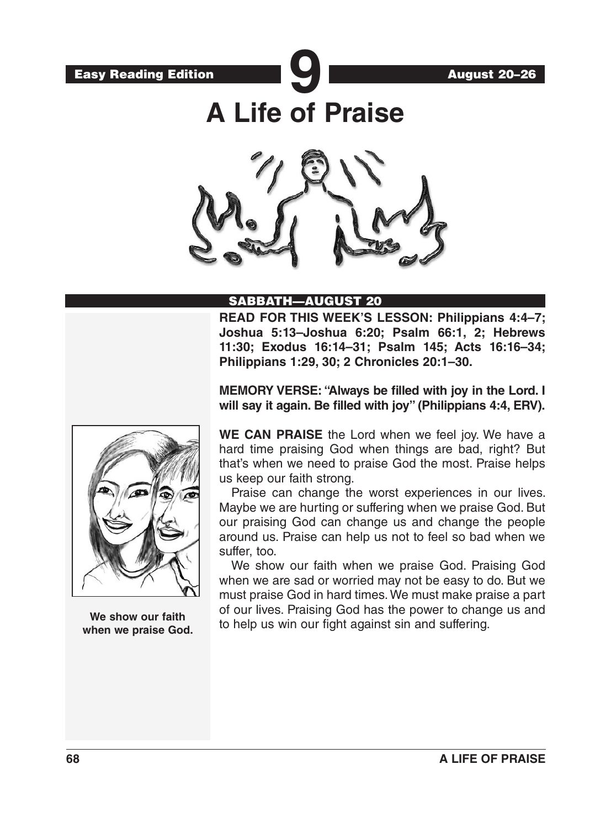

**A Life of Praise**



# SABBATH—AUGUST 20

**READ FOR THIS WEEK'S LESSON: Philippians 4:4–7; Joshua 5:13–Joshua 6:20; Psalm 66:1, 2; Hebrews 11:30; Exodus 16:14–31; Psalm 145; Acts 16:16–34; Philippians 1:29, 30; 2 Chronicles 20:1–30.**

**MEMORY VERSE: "Always be filled with joy in the Lord. I will say it again. Be filled with joy" (Philippians 4:4, ERV).**



**We show our faith when we praise God.**

**WE CAN PRAISE** the Lord when we feel joy. We have a hard time praising God when things are bad, right? But that's when we need to praise God the most. Praise helps us keep our faith strong.

Praise can change the worst experiences in our lives. Maybe we are hurting or suffering when we praise God. But our praising God can change us and change the people around us. Praise can help us not to feel so bad when we suffer, too.

We show our faith when we praise God. Praising God when we are sad or worried may not be easy to do. But we must praise God in hard times. We must make praise a part of our lives. Praising God has the power to change us and to help us win our fight against sin and suffering.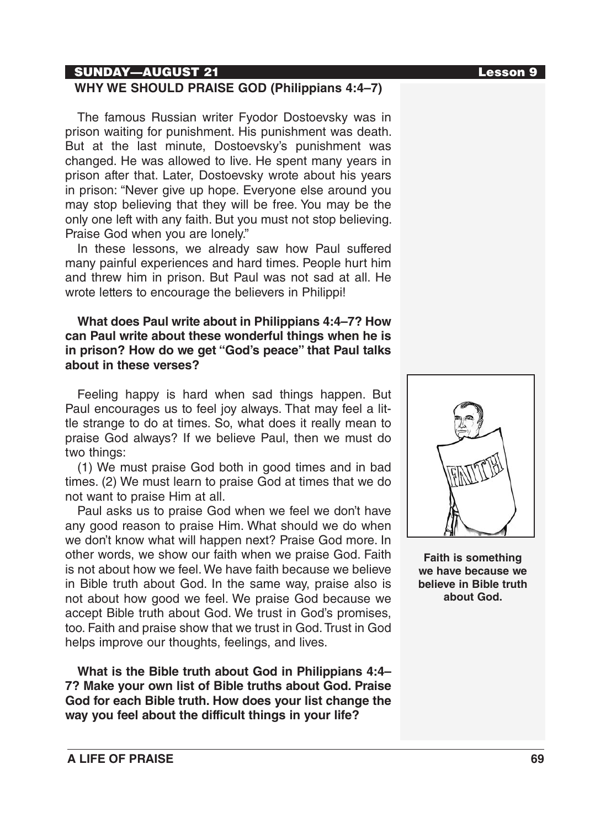## SUNDAY—AUGUST 21 Lesson 9

# **WHY WE SHOULD PRAISE GOD (Philippians 4:4–7)**

The famous Russian writer Fyodor Dostoevsky was in prison waiting for punishment. His punishment was death. But at the last minute, Dostoevsky's punishment was changed. He was allowed to live. He spent many years in prison after that. Later, Dostoevsky wrote about his years in prison: "Never give up hope. Everyone else around you may stop believing that they will be free. You may be the only one left with any faith. But you must not stop believing. Praise God when you are lonely."

In these lessons, we already saw how Paul suffered many painful experiences and hard times. People hurt him and threw him in prison. But Paul was not sad at all. He wrote letters to encourage the believers in Philippi!

## **What does Paul write about in Philippians 4:4–7? How can Paul write about these wonderful things when he is in prison? How do we get "God's peace" that Paul talks about in these verses?**

Feeling happy is hard when sad things happen. But Paul encourages us to feel joy always. That may feel a little strange to do at times. So, what does it really mean to praise God always? If we believe Paul, then we must do two things:

(1) We must praise God both in good times and in bad times. (2) We must learn to praise God at times that we do not want to praise Him at all.

Paul asks us to praise God when we feel we don't have any good reason to praise Him. What should we do when we don't know what will happen next? Praise God more. In other words, we show our faith when we praise God. Faith is not about how we feel. We have faith because we believe in Bible truth about God. In the same way, praise also is not about how good we feel. We praise God because we accept Bible truth about God. We trust in God's promises, too. Faith and praise show that we trust in God. Trust in God helps improve our thoughts, feelings, and lives.

**What is the Bible truth about God in Philippians 4:4– 7? Make your own list of Bible truths about God. Praise God for each Bible truth. How does your list change the way you feel about the difficult things in your life?**



**Faith is something we have because we believe in Bible truth about God.**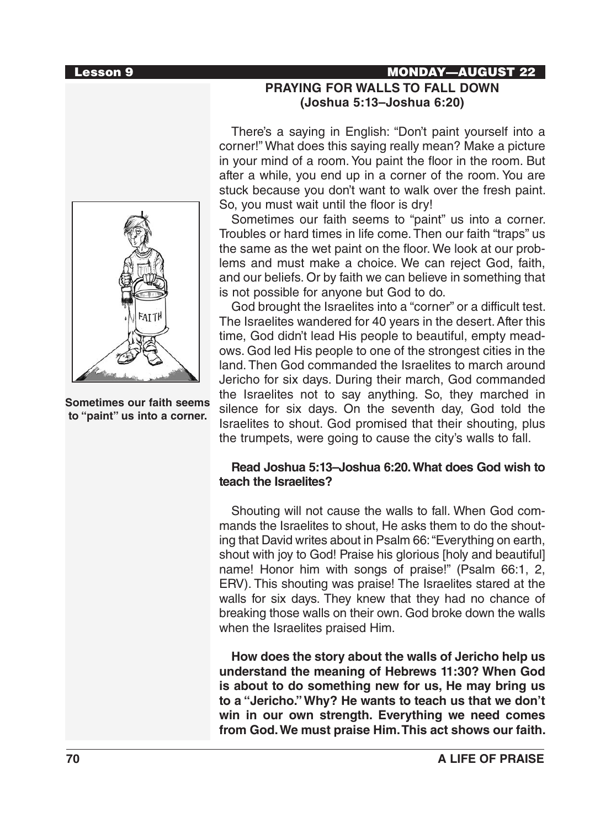### Lesson 9 MONDAY—AUGUST 22



**Sometimes our faith seems to "paint" us into a corner.**

# **PRAYING FOR WALLS TO FALL DOWN (Joshua 5:13–Joshua 6:20)**

There's a saying in English: "Don't paint yourself into a corner!" What does this saying really mean? Make a picture in your mind of a room. You paint the floor in the room. But after a while, you end up in a corner of the room. You are stuck because you don't want to walk over the fresh paint. So, you must wait until the floor is dry!

Sometimes our faith seems to "paint" us into a corner. Troubles or hard times in life come. Then our faith "traps" us the same as the wet paint on the floor. We look at our problems and must make a choice. We can reject God, faith, and our beliefs. Or by faith we can believe in something that is not possible for anyone but God to do.

God brought the Israelites into a "corner" or a difficult test. The Israelites wandered for 40 years in the desert. After this time, God didn't lead His people to beautiful, empty meadows. God led His people to one of the strongest cities in the land. Then God commanded the Israelites to march around Jericho for six days. During their march, God commanded the Israelites not to say anything. So, they marched in silence for six days. On the seventh day, God told the Israelites to shout. God promised that their shouting, plus the trumpets, were going to cause the city's walls to fall.

### **Read Joshua 5:13–Joshua 6:20. What does God wish to teach the Israelites?**

Shouting will not cause the walls to fall. When God commands the Israelites to shout, He asks them to do the shouting that David writes about in Psalm 66: "Everything on earth, shout with joy to God! Praise his glorious [holy and beautiful] name! Honor him with songs of praise!" (Psalm 66:1, 2, ERV). This shouting was praise! The Israelites stared at the walls for six days. They knew that they had no chance of breaking those walls on their own. God broke down the walls when the Israelites praised Him.

**How does the story about the walls of Jericho help us understand the meaning of Hebrews 11:30? When God is about to do something new for us, He may bring us to a "Jericho." Why? He wants to teach us that we don't win in our own strength. Everything we need comes from God. We must praise Him. This act shows our faith.**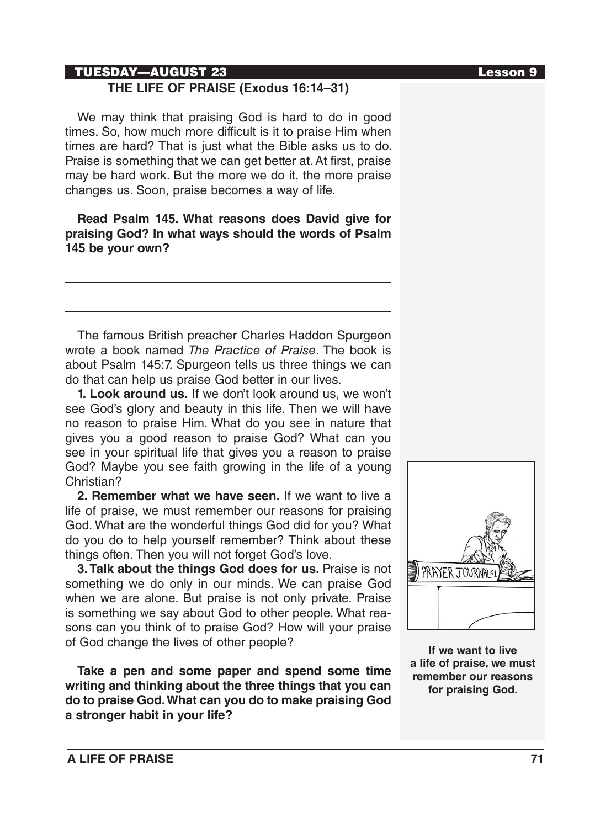# TUESDAY—AUGUST 23 Lesson 9

# **THE LIFE OF PRAISE (Exodus 16:14–31)**

We may think that praising God is hard to do in good times. So, how much more difficult is it to praise Him when times are hard? That is just what the Bible asks us to do. Praise is something that we can get better at. At first, praise may be hard work. But the more we do it, the more praise changes us. Soon, praise becomes a way of life.

**Read Psalm 145. What reasons does David give for praising God? In what ways should the words of Psalm 145 be your own?**

The famous British preacher Charles Haddon Spurgeon wrote a book named *The Practice of Praise*. The book is about Psalm 145:7. Spurgeon tells us three things we can do that can help us praise God better in our lives.

**1. Look around us.** If we don't look around us, we won't see God's glory and beauty in this life. Then we will have no reason to praise Him. What do you see in nature that gives you a good reason to praise God? What can you see in your spiritual life that gives you a reason to praise God? Maybe you see faith growing in the life of a young Christian?

**2. Remember what we have seen.** If we want to live a life of praise, we must remember our reasons for praising God. What are the wonderful things God did for you? What do you do to help yourself remember? Think about these things often. Then you will not forget God's love.

**3. Talk about the things God does for us.** Praise is not something we do only in our minds. We can praise God when we are alone. But praise is not only private. Praise is something we say about God to other people. What reasons can you think of to praise God? How will your praise of God change the lives of other people?

**Take a pen and some paper and spend some time writing and thinking about the three things that you can do to praise God. What can you do to make praising God a stronger habit in your life?**



**If we want to live a life of praise, we must remember our reasons for praising God.**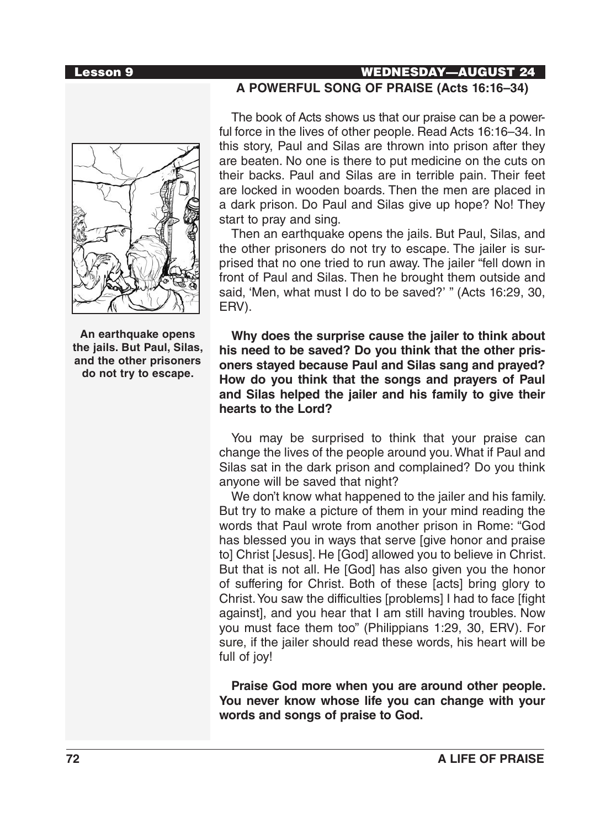**An earthquake opens the jails. But Paul, Silas, and the other prisoners do not try to escape.**

# Lesson 9 WEDNESDAY—AUGUST 24 **A POWERFUL SONG OF PRAISE (Acts 16:16–34)**

The book of Acts shows us that our praise can be a powerful force in the lives of other people. Read Acts 16:16–34. In this story, Paul and Silas are thrown into prison after they are beaten. No one is there to put medicine on the cuts on their backs. Paul and Silas are in terrible pain. Their feet are locked in wooden boards. Then the men are placed in a dark prison. Do Paul and Silas give up hope? No! They start to pray and sing.

Then an earthquake opens the jails. But Paul, Silas, and the other prisoners do not try to escape. The jailer is surprised that no one tried to run away. The jailer "fell down in front of Paul and Silas. Then he brought them outside and said, 'Men, what must I do to be saved?' " (Acts 16:29, 30, ERV).

**Why does the surprise cause the jailer to think about his need to be saved? Do you think that the other prisoners stayed because Paul and Silas sang and prayed? How do you think that the songs and prayers of Paul and Silas helped the jailer and his family to give their hearts to the Lord?**

You may be surprised to think that your praise can change the lives of the people around you. What if Paul and Silas sat in the dark prison and complained? Do you think anyone will be saved that night?

We don't know what happened to the jailer and his family. But try to make a picture of them in your mind reading the words that Paul wrote from another prison in Rome: "God has blessed you in ways that serve [give honor and praise to] Christ [Jesus]. He [God] allowed you to believe in Christ. But that is not all. He [God] has also given you the honor of suffering for Christ. Both of these [acts] bring glory to Christ. You saw the difficulties [problems] I had to face [fight against], and you hear that I am still having troubles. Now you must face them too" (Philippians 1:29, 30, ERV). For sure, if the jailer should read these words, his heart will be full of joy!

**Praise God more when you are around other people. You never know whose life you can change with your words and songs of praise to God.**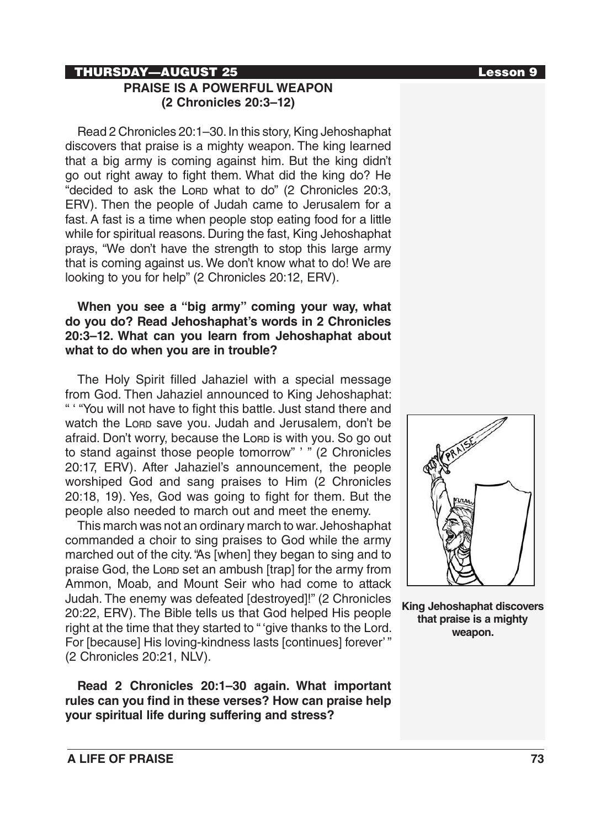# **THURSDAY—AUGUST 25 Lesson 9**

# **PRAISE IS A POWERFUL WEAPON (2 Chronicles 20:3–12)**

Read 2 Chronicles 20:1–30. In this story, King Jehoshaphat discovers that praise is a mighty weapon. The king learned that a big army is coming against him. But the king didn't go out right away to fight them. What did the king do? He "decided to ask the Lorp what to do" (2 Chronicles 20:3, ERV). Then the people of Judah came to Jerusalem for a fast. A fast is a time when people stop eating food for a little while for spiritual reasons. During the fast, King Jehoshaphat prays, "We don't have the strength to stop this large army that is coming against us. We don't know what to do! We are looking to you for help" (2 Chronicles 20:12, ERV).

## **When you see a "big army" coming your way, what do you do? Read Jehoshaphat's words in 2 Chronicles 20:3–12. What can you learn from Jehoshaphat about what to do when you are in trouble?**

The Holy Spirit filled Jahaziel with a special message from God. Then Jahaziel announced to King Jehoshaphat: " ' "You will not have to fight this battle. Just stand there and watch the Lorp save you. Judah and Jerusalem, don't be afraid. Don't worry, because the Lore is with you. So go out to stand against those people tomorrow" ' " (2 Chronicles 20:17, ERV). After Jahaziel's announcement, the people worshiped God and sang praises to Him (2 Chronicles 20:18, 19). Yes, God was going to fight for them. But the people also needed to march out and meet the enemy.

This march was not an ordinary march to war. Jehoshaphat commanded a choir to sing praises to God while the army marched out of the city. "As [when] they began to sing and to praise God, the Lonp set an ambush [trap] for the army from Ammon, Moab, and Mount Seir who had come to attack Judah. The enemy was defeated [destroyed]!" (2 Chronicles 20:22, ERV). The Bible tells us that God helped His people right at the time that they started to " 'give thanks to the Lord. For [because] His loving-kindness lasts [continues] forever' " (2 Chronicles 20:21, NLV).

**Read 2 Chronicles 20:1–30 again. What important rules can you find in these verses? How can praise help your spiritual life during suffering and stress?**



**King Jehoshaphat discovers that praise is a mighty weapon.**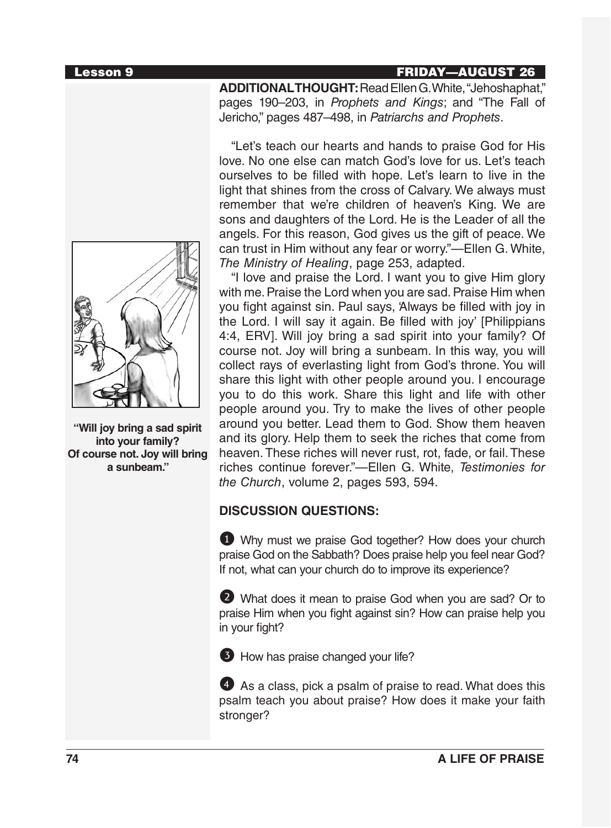### **Lesson 9 FRIDAY—AUGUST 26**



**"Will joy bring a sad spirit into your family? Of course not. Joy will bring a sunbeam."**

**ADDITIONAL THOUGHT:**Read Ellen G. White, "Jehoshaphat," pages 190–203, in *Prophets and Kings*; and "The Fall of Jericho," pages 487–498, in *Patriarchs and Prophets*.

"Let's teach our hearts and hands to praise God for His love. No one else can match God's love for us. Let's teach ourselves to be filled with hope. Let's learn to live in the light that shines from the cross of Calvary. We always must remember that we're children of heaven's King. We are sons and daughters of the Lord. He is the Leader of all the angels. For this reason, God gives us the gift of peace. We can trust in Him without any fear or worry."—Ellen G. White, *The Ministry of Healing*, page 253, adapted.

"I love and praise the Lord. I want you to give Him glory with me. Praise the Lord when you are sad. Praise Him when you fight against sin. Paul says, 'Always be filled with joy in the Lord. I will say it again. Be filled with joy' [Philippians 4:4, ERV]. Will joy bring a sad spirit into your family? Of course not. Joy will bring a sunbeam. In this way, you will collect rays of everlasting light from God's throne. You will share this light with other people around you. I encourage you to do this work. Share this light and life with other people around you. Try to make the lives of other people around you better. Lead them to God. Show them heaven and its glory. Help them to seek the riches that come from heaven. These riches will never rust, rot, fade, or fail. These riches continue forever."—Ellen G. White, *Testimonies for the Church*, volume 2, pages 593, 594.

# **DISCUSSION QUESTIONS:**

1 Why must we praise God together? How does your church praise God on the Sabbath? Does praise help you feel near God? If not, what can your church do to improve its experience?

2 What does it mean to praise God when you are sad? Or to praise Him when you fight against sin? How can praise help you in your fight?

**3** How has praise changed your life?

4 As a class, pick a psalm of praise to read. What does this psalm teach you about praise? How does it make your faith stronger?